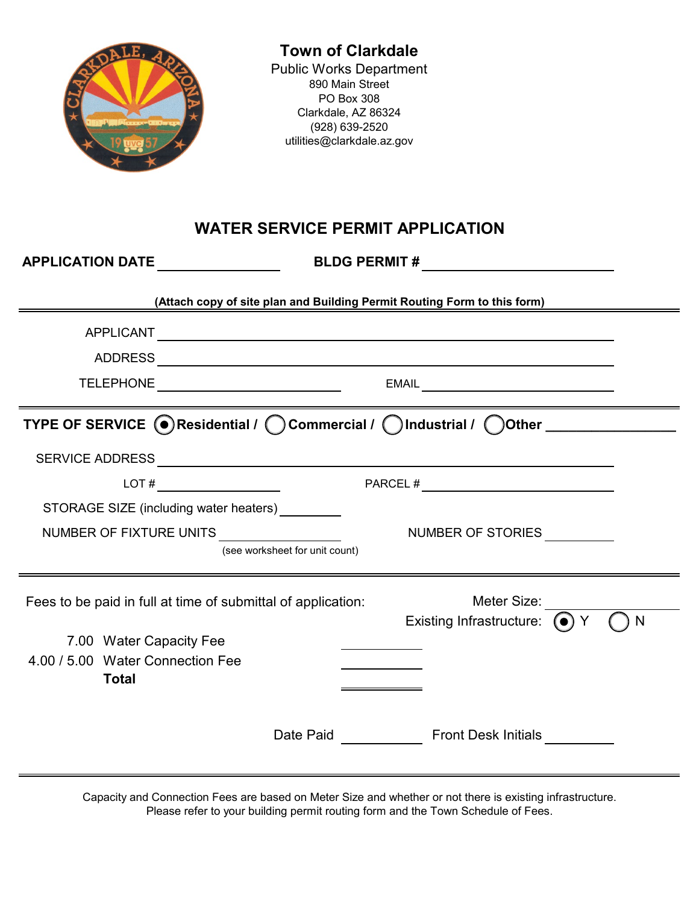

Capacity and Connection Fees are based on Meter Size and whether or not there is existing infrastructure. Please refer to your building permit routing form and the Town Schedule of Fees.